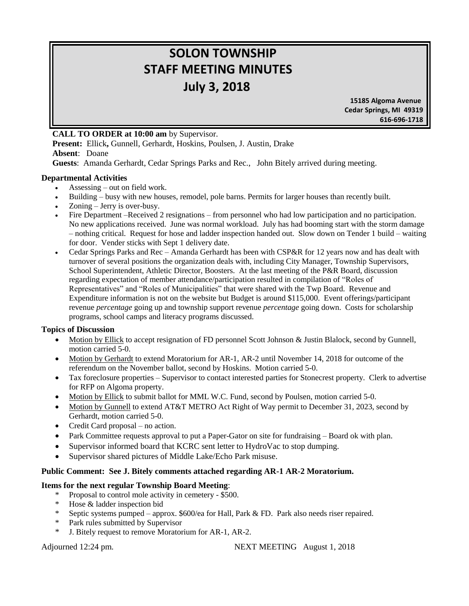# **SOLON TOWNSHIP STAFF MEETING MINUTES July 3, 2018**

 **15185 Algoma Avenue Cedar Springs, MI 49319 616-696-1718**

# **CALL TO ORDER at 10:00 am** by Supervisor.

**Present:** Ellick**,** Gunnell, Gerhardt, Hoskins, Poulsen, J. Austin, Drake **Absent**: Doane

**Guests**: Amanda Gerhardt, Cedar Springs Parks and Rec., John Bitely arrived during meeting.

### **Departmental Activities**

- Assessing out on field work.
- Building busy with new houses, remodel, pole barns. Permits for larger houses than recently built.
- Zoning Jerry is over-busy.
- Fire Department –Received 2 resignations from personnel who had low participation and no participation. No new applications received. June was normal workload. July has had booming start with the storm damage – nothing critical. Request for hose and ladder inspection handed out. Slow down on Tender 1 build – waiting for door. Vender sticks with Sept 1 delivery date.
- Cedar Springs Parks and Rec Amanda Gerhardt has been with CSP&R for 12 years now and has dealt with turnover of several positions the organization deals with, including City Manager, Township Supervisors, School Superintendent, Athletic Director, Boosters. At the last meeting of the P&R Board, discussion regarding expectation of member attendance/participation resulted in compilation of "Roles of Representatives" and "Roles of Municipalities" that were shared with the Twp Board. Revenue and Expenditure information is not on the website but Budget is around \$115,000. Event offerings/participant revenue *percentage* going up and township support revenue *percentage* going down. Costs for scholarship programs, school camps and literacy programs discussed.

### **Topics of Discussion**

- Motion by Ellick to accept resignation of FD personnel Scott Johnson & Justin Blalock, second by Gunnell, motion carried 5-0.
- Motion by Gerhardt to extend Moratorium for AR-1, AR-2 until November 14, 2018 for outcome of the referendum on the November ballot, second by Hoskins. Motion carried 5-0.
- Tax foreclosure properties Supervisor to contact interested parties for Stonecrest property. Clerk to advertise for RFP on Algoma property.
- Motion by Ellick to submit ballot for MML W.C. Fund, second by Poulsen, motion carried 5-0.
- Motion by Gunnell to extend AT&T METRO Act Right of Way permit to December 31, 2023, second by Gerhardt, motion carried 5-0.
- Credit Card proposal no action.
- Park Committee requests approval to put a Paper-Gator on site for fundraising Board ok with plan.
- Supervisor informed board that KCRC sent letter to HydroVac to stop dumping.
- Supervisor shared pictures of Middle Lake/Echo Park misuse.

## **Public Comment: See J. Bitely comments attached regarding AR-1 AR-2 Moratorium.**

### **Items for the next regular Township Board Meeting**:

- \* Proposal to control mole activity in cemetery \$500.
- \* Hose & ladder inspection bid
- \* Septic systems pumped approx. \$600/ea for Hall, Park & FD. Park also needs riser repaired.
- \* Park rules submitted by Supervisor
- \* J. Bitely request to remove Moratorium for AR-1, AR-2.

Adjourned 12:24 pm. NEXT MEETING August 1, 2018